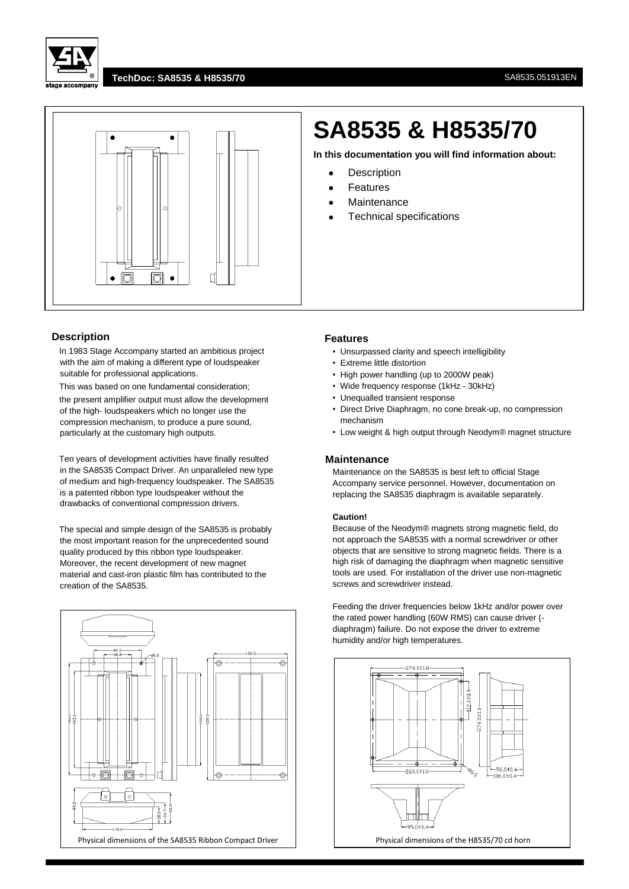



## **TechDoc: SA8535 & H8535/70** SA8535.051913EN



## **Description**

In 1983 Stage Accompany started an ambitious project with the aim of making a different type of loudspeaker suitable for professional applications.

This was based on one fundamental consideration; the present amplifier output must allow the development of the high- loudspeakers which no longer use the compression mechanism, to produce a pure sound, particularly at the customary high outputs.

Ten years of development activities have finally resulted in the SA8535 Compact Driver. An unparalleled new type of medium and high-frequency loudspeaker. The SA8535 is a patented ribbon type loudspeaker without the drawbacks of conventional compression drivers.

The special and simple design of the SA8535 is probably the most important reason for the unprecedented sound quality produced by this ribbon type loudspeaker. Moreover, the recent development of new magnet material and cast-iron plastic film has contributed to the creation of the SA8535.



# **SA8535 & H8535/70**

**In this documentation you will find information about:**

- Description
- Features
- Maintenance
- Technical specifications

#### **Features**

- Unsurpassed clarity and speech intelligibility
- Extreme little distortion
- High power handling (up to 2000W peak)
- Wide frequency response (1kHz 30kHz)
- Unequalled transient response
- Direct Drive Diaphragm, no cone break-up, no compression mechanism
- Low weight & high output through Neodym® magnet structure

### **Maintenance**

Maintenance on the SA8535 is best left to official Stage Accompany service personnel. However, documentation on replacing the SA8535 diaphragm is available separately.

#### **Caution!**

Because of the Neodym® magnets strong magnetic field, do not approach the SA8535 with a normal screwdriver or other objects that are sensitive to strong magnetic fields. There is a high risk of damaging the diaphragm when magnetic sensitive tools are used. For installation of the driver use non-magnetic screws and screwdriver instead.

Feeding the driver frequencies below 1kHz and/or power over the rated power handling (60W RMS) can cause driver ( diaphragm) failure. Do not expose the driver to extreme humidity and/or high temperatures.